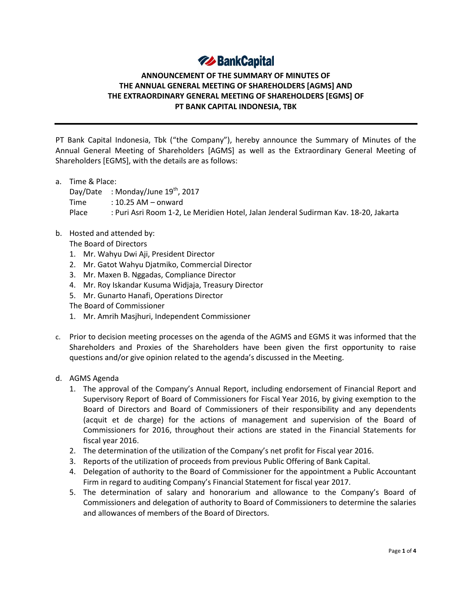# **74 BankCapital**

# **ANNOUNCEMENT OF THE SUMMARY OF MINUTES OF THE ANNUAL GENERAL MEETING OF SHAREHOLDERS [AGMS] AND THE EXTRAORDINARY GENERAL MEETING OF SHAREHOLDERS [EGMS] OF PT BANK CAPITAL INDONESIA, TBK**

PT Bank Capital Indonesia, Tbk ("the Company"), hereby announce the Summary of Minutes of the Annual General Meeting of Shareholders [AGMS] as well as the Extraordinary General Meeting of Shareholders [EGMS], with the details are as follows:

a. Time & Place:

Day/Date : Monday/June  $19^{th}$ , 2017

 $Time : 10.25 AM - onward$ 

Place : Puri Asri Room 1-2, Le Meridien Hotel, Jalan Jenderal Sudirman Kav. 18-20, Jakarta

b. Hosted and attended by:

The Board of Directors

- 1. Mr. Wahyu Dwi Aji, President Director
- 2. Mr. Gatot Wahyu Djatmiko, Commercial Director
- 3. Mr. Maxen B. Nggadas, Compliance Director
- 4. Mr. Roy Iskandar Kusuma Widjaja, Treasury Director
- 5. Mr. Gunarto Hanafi, Operations Director
- The Board of Commissioner
- 1. Mr. Amrih Masjhuri, Independent Commissioner
- c. Prior to decision meeting processes on the agenda of the AGMS and EGMS it was informed that the Shareholders and Proxies of the Shareholders have been given the first opportunity to raise questions and/or give opinion related to the agenda's discussed in the Meeting.
- d. AGMS Agenda
	- 1. The approval of the Company's Annual Report, including endorsement of Financial Report and Supervisory Report of Board of Commissioners for Fiscal Year 2016, by giving exemption to the Board of Directors and Board of Commissioners of their responsibility and any dependents (acquit et de charge) for the actions of management and supervision of the Board of Commissioners for 2016, throughout their actions are stated in the Financial Statements for fiscal year 2016.
	- 2. The determination of the utilization of the Company's net profit for Fiscal year 2016.
	- 3. Reports of the utilization of proceeds from previous Public Offering of Bank Capital.
	- 4. Delegation of authority to the Board of Commissioner for the appointment a Public Accountant Firm in regard to auditing Company's Financial Statement for fiscal year 2017.
	- 5. The determination of salary and honorarium and allowance to the Company's Board of Commissioners and delegation of authority to Board of Commissioners to determine the salaries and allowances of members of the Board of Directors.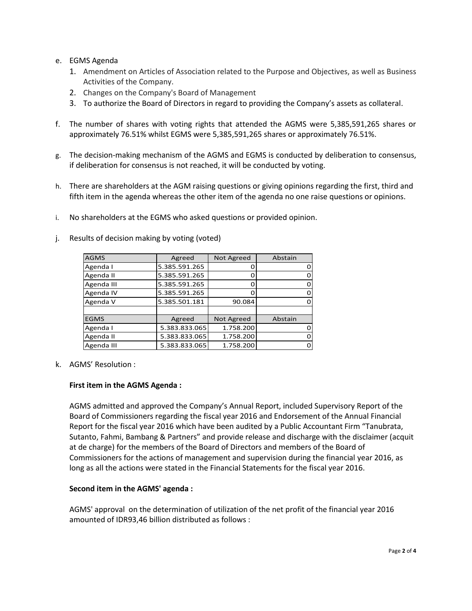- e. EGMS Agenda
	- 1. Amendment on Articles of Association related to the Purpose and Objectives, as well as Business Activities of the Company.
	- 2. Changes on the Company's Board of Management
	- 3. To authorize the Board of Directors in regard to providing the Company's assets as collateral.
- f. The number of shares with voting rights that attended the AGMS were 5,385,591,265 shares or approximately 76.51% whilst EGMS were 5,385,591,265 shares or approximately 76.51%.
- g. The decision-making mechanism of the AGMS and EGMS is conducted by deliberation to consensus, if deliberation for consensus is not reached, it will be conducted by voting.
- h. There are shareholders at the AGM raising questions or giving opinions regarding the first, third and fifth item in the agenda whereas the other item of the agenda no one raise questions or opinions.
- i. No shareholders at the EGMS who asked questions or provided opinion.

| <b>AGMS</b> | Agreed        | Not Agreed | Abstain |
|-------------|---------------|------------|---------|
| Agenda I    | 5.385.591.265 |            | 0       |
| Agenda II   | 5.385.591.265 |            | 0       |
| Agenda III  | 5.385.591.265 |            | 0       |
| Agenda IV   | 5.385.591.265 |            | 0       |
| Agenda V    | 5.385.501.181 | 90.084     | 0       |
|             |               |            |         |
| <b>EGMS</b> | Agreed        | Not Agreed | Abstain |
| Agenda I    | 5.383.833.065 | 1.758.200  | 0       |
| Agenda II   | 5.383.833.065 | 1.758.200  | 0       |
| Agenda III  | 5.383.833.065 | 1.758.200  | 0       |

j. Results of decision making by voting (voted)

k. AGMS' Resolution :

#### **First item in the AGMS Agenda :**

AGMS admitted and approved the Company's Annual Report, included Supervisory Report of the Board of Commissioners regarding the fiscal year 2016 and Endorsement of the Annual Financial Report for the fiscal year 2016 which have been audited by a Public Accountant Firm "Tanubrata, Sutanto, Fahmi, Bambang & Partners" and provide release and discharge with the disclaimer (acquit at de charge) for the members of the Board of Directors and members of the Board of Commissioners for the actions of management and supervision during the financial year 2016, as long as all the actions were stated in the Financial Statements for the fiscal year 2016.

## **Second item in the AGMS' agenda :**

AGMS' approval on the determination of utilization of the net profit of the financial year 2016 amounted of IDR93,46 billion distributed as follows :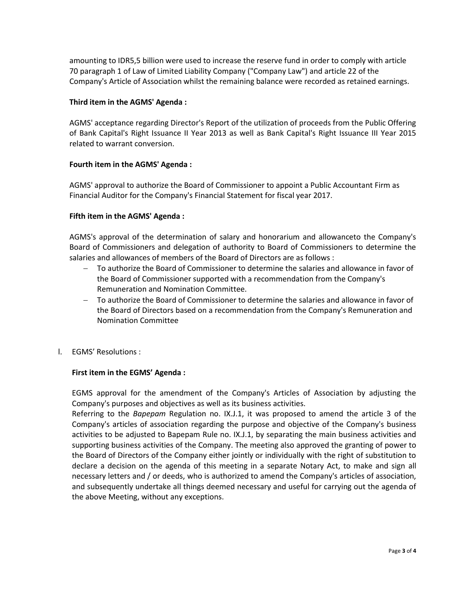amounting to IDR5,5 billion were used to increase the reserve fund in order to comply with article 70 paragraph 1 of Law of Limited Liability Company ("Company Law") and article 22 of the Company's Article of Association whilst the remaining balance were recorded as retained earnings.

### **Third item in the AGMS' Agenda :**

AGMS' acceptance regarding Director's Report of the utilization of proceeds from the Public Offering of Bank Capital's Right Issuance II Year 2013 as well as Bank Capital's Right Issuance III Year 2015 related to warrant conversion.

#### **Fourth item in the AGMS' Agenda :**

AGMS' approval to authorize the Board of Commissioner to appoint a Public Accountant Firm as Financial Auditor for the Company's Financial Statement for fiscal year 2017.

#### **Fifth item in the AGMS' Agenda :**

AGMS's approval of the determination of salary and honorarium and allowanceto the Company's Board of Commissioners and delegation of authority to Board of Commissioners to determine the salaries and allowances of members of the Board of Directors are as follows :

- To authorize the Board of Commissioner to determine the salaries and allowance in favor of the Board of Commissioner supported with a recommendation from the Company's Remuneration and Nomination Committee.
- To authorize the Board of Commissioner to determine the salaries and allowance in favor of the Board of Directors based on a recommendation from the Company's Remuneration and Nomination Committee
- l. EGMS' Resolutions :

#### **First item in the EGMS' Agenda :**

EGMS approval for the amendment of the Company's Articles of Association by adjusting the Company's purposes and objectives as well as its business activities.

Referring to the *Bapepam* Regulation no. IX.J.1, it was proposed to amend the article 3 of the Company's articles of association regarding the purpose and objective of the Company's business activities to be adjusted to Bapepam Rule no. IX.J.1, by separating the main business activities and supporting business activities of the Company. The meeting also approved the granting of power to the Board of Directors of the Company either jointly or individually with the right of substitution to declare a decision on the agenda of this meeting in a separate Notary Act, to make and sign all necessary letters and / or deeds, who is authorized to amend the Company's articles of association, and subsequently undertake all things deemed necessary and useful for carrying out the agenda of the above Meeting, without any exceptions.